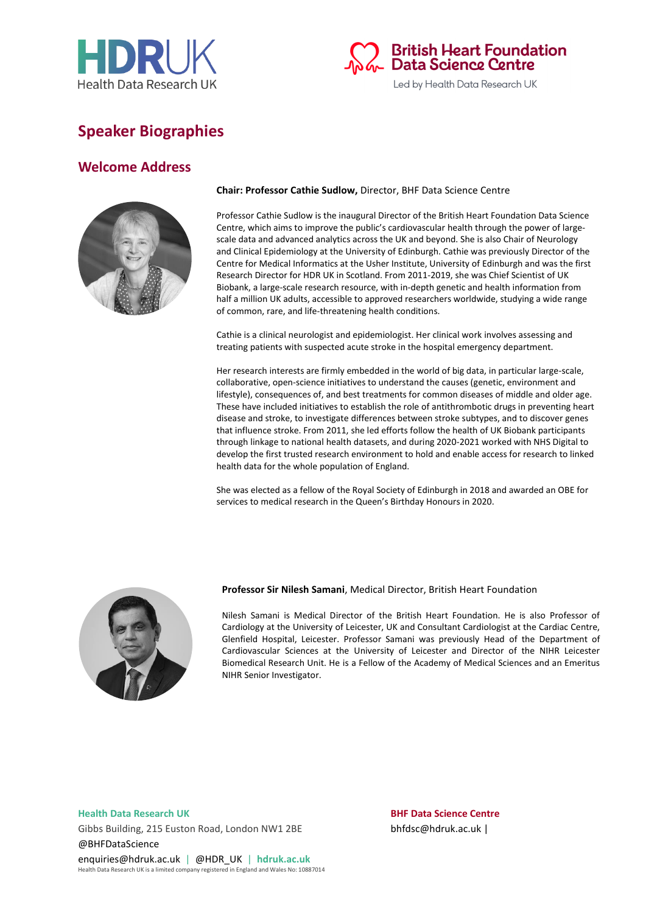



# **Speaker Biographies**

## **Welcome Address**



### **Chair: Professor Cathie Sudlow,** Director, BHF Data Science Centre

Professor Cathie Sudlow is the inaugural Director of the British Heart Foundation Data Science Centre, which aims to improve the public's cardiovascular health through the power of largescale data and advanced analytics across the UK and beyond. She is also Chair of Neurology and Clinical Epidemiology at the University of Edinburgh. Cathie was previously Director of the Centre for Medical Informatics at the Usher Institute, University of Edinburgh and was the first Research Director for HDR UK in Scotland. From 2011-2019, she was Chief Scientist of UK Biobank, a large-scale research resource, with in-depth genetic and health information from half a million UK adults, accessible to approved researchers worldwide, studying a wide range of common, rare, and life-threatening health conditions.

Cathie is a clinical neurologist and epidemiologist. Her clinical work involves assessing and treating patients with suspected acute stroke in the hospital emergency department.

Her research interests are firmly embedded in the world of big data, in particular large-scale, collaborative, open-science initiatives to understand the causes (genetic, environment and lifestyle), consequences of, and best treatments for common diseases of middle and older age. These have included initiatives to establish the role of antithrombotic drugs in preventing heart disease and stroke, to investigate differences between stroke subtypes, and to discover genes that influence stroke. From 2011, she led efforts follow the health of UK Biobank participants through linkage to national health datasets, and during 2020-2021 worked with NHS Digital to develop the first trusted research environment to hold and enable access for research to linked health data for the whole population of England.

She was elected as a fellow of the Royal Society of Edinburgh in 2018 and awarded an OBE for services to medical research in the Queen's Birthday Honours in 2020.



#### **Professor Sir Nilesh Samani**, Medical Director, British Heart Foundation

Nilesh Samani is Medical Director of the British Heart Foundation. He is also Professor of Cardiology at the University of Leicester, UK and Consultant Cardiologist at the Cardiac Centre, Glenfield Hospital, Leicester. Professor Samani was previously Head of the Department of Cardiovascular Sciences at the University of Leicester and Director of the NIHR Leicester Biomedical Research Unit. He is a Fellow of the Academy of Medical Sciences and an Emeritus NIHR Senior Investigator.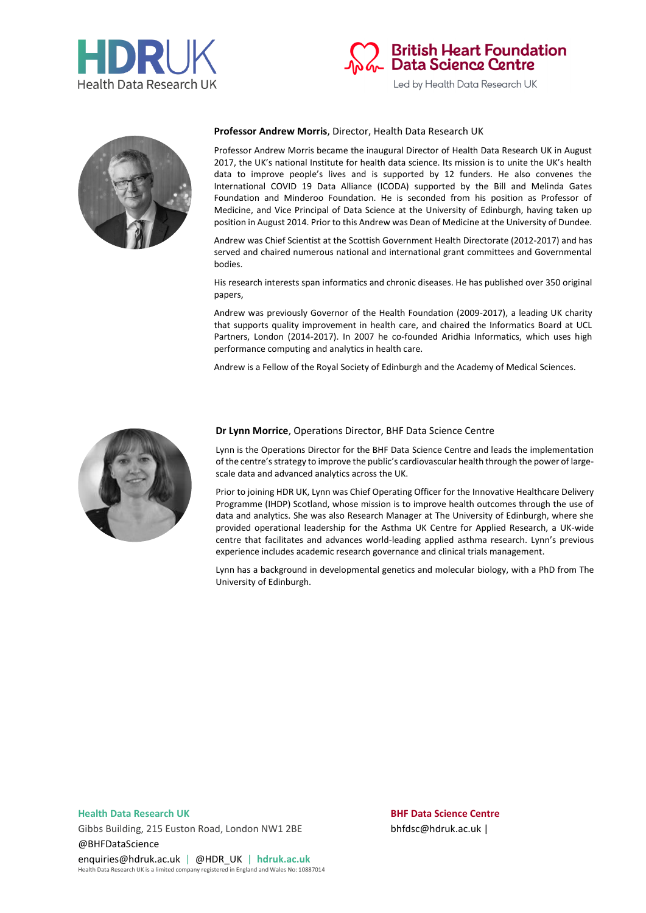





#### **Professor Andrew Morris**, Director, Health Data Research UK

Professor Andrew Morris became the inaugural Director of Health Data Research UK in August 2017, the UK's national Institute for health data science. Its mission is to unite the UK's health data to improve people's lives and is supported by 12 funders. He also convenes the International COVID 19 Data Alliance (ICODA) supported by the Bill and Melinda Gates Foundation and Minderoo Foundation. He is seconded from his position as Professor of Medicine, and Vice Principal of Data Science at the University of Edinburgh, having taken up position in August 2014. Prior to this Andrew was Dean of Medicine at the University of Dundee.

Andrew was Chief Scientist at the Scottish Government Health Directorate (2012-2017) and has served and chaired numerous national and international grant committees and Governmental bodies.

His research interests span informatics and chronic diseases. He has published over 350 original papers,

Andrew was previously Governor of the Health Foundation (2009-2017), a leading UK charity that supports quality improvement in health care, and chaired the Informatics Board at UCL Partners, London (2014-2017). In 2007 he co-founded Aridhia Informatics, which uses high performance computing and analytics in health care.

Andrew is a Fellow of the Royal Society of Edinburgh and the Academy of Medical Sciences.



#### **Dr Lynn Morrice**, Operations Director, BHF Data Science Centre

Lynn is the Operations Director for the BHF Data Science Centre and leads the implementation of the centre's strategy to improve the public's cardiovascular health through the power of largescale data and advanced analytics across the UK.

Prior to joining HDR UK, Lynn was Chief Operating Officer for the Innovative Healthcare Delivery Programme (IHDP) Scotland, whose mission is to improve health outcomes through the use of data and analytics. She was also Research Manager at The University of Edinburgh, where she provided operational leadership for the Asthma UK Centre for Applied Research, a UK-wide centre that facilitates and advances world-leading applied asthma research. Lynn's previous experience includes academic research governance and clinical trials management.

Lynn has a background in developmental genetics and molecular biology, with a PhD from The University of Edinburgh.

Gibbs Building, 215 Euston Road, London NW1 2BE bhfdsc@hdruk.ac.uk | @BHFDataScience enquiries@hdruk.ac.uk | @HDR\_UK | **hdruk.ac.uk**

Health Data Research UK is a limited company registered in England and Wales No: 10887014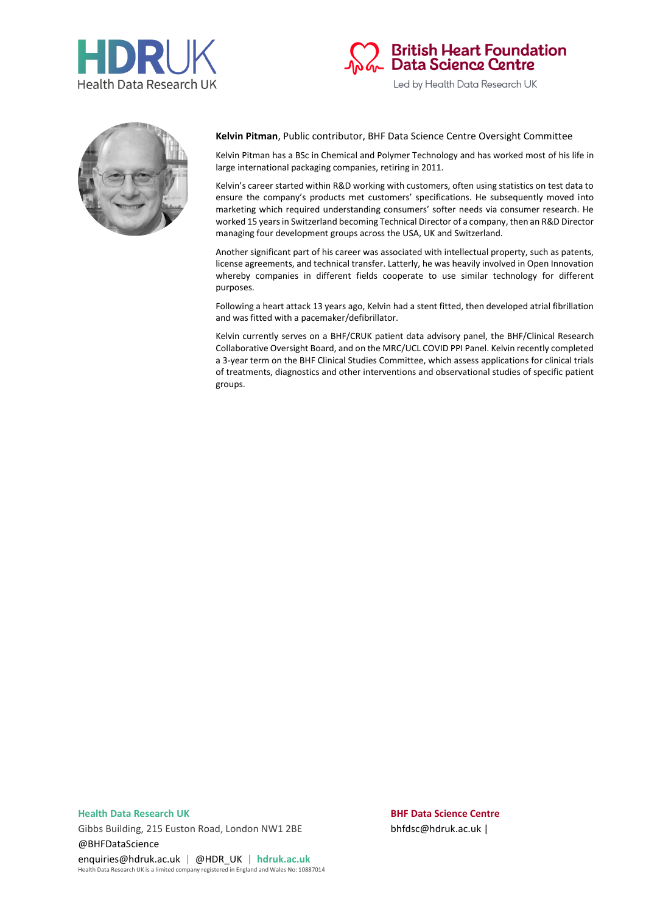





### **Kelvin Pitman**, Public contributor, BHF Data Science Centre Oversight Committee

Kelvin Pitman has a BSc in Chemical and Polymer Technology and has worked most of his life in large international packaging companies, retiring in 2011.

Kelvin's career started within R&D working with customers, often using statistics on test data to ensure the company's products met customers' specifications. He subsequently moved into marketing which required understanding consumers' softer needs via consumer research. He worked 15 years in Switzerland becoming Technical Director of a company, then an R&D Director managing four development groups across the USA, UK and Switzerland.

Another significant part of his career was associated with intellectual property, such as patents, license agreements, and technical transfer. Latterly, he was heavily involved in Open Innovation whereby companies in different fields cooperate to use similar technology for different purposes.

Following a heart attack 13 years ago, Kelvin had a stent fitted, then developed atrial fibrillation and was fitted with a pacemaker/defibrillator.

Kelvin currently serves on a BHF/CRUK patient data advisory panel, the BHF/Clinical Research Collaborative Oversight Board, and on the MRC/UCL COVID PPI Panel. Kelvin recently completed a 3-year term on the BHF Clinical Studies Committee, which assess applications for clinical trials of treatments, diagnostics and other interventions and observational studies of specific patient groups.

Gibbs Building, 215 Euston Road, London NW1 2BE bhfdsc@hdruk.ac.uk | @BHFDataScience

enquiries@hdruk.ac.uk | @HDR\_UK | **hdruk.ac.uk** Health Data Research UK is a limited company registered in England and Wales No: 10887014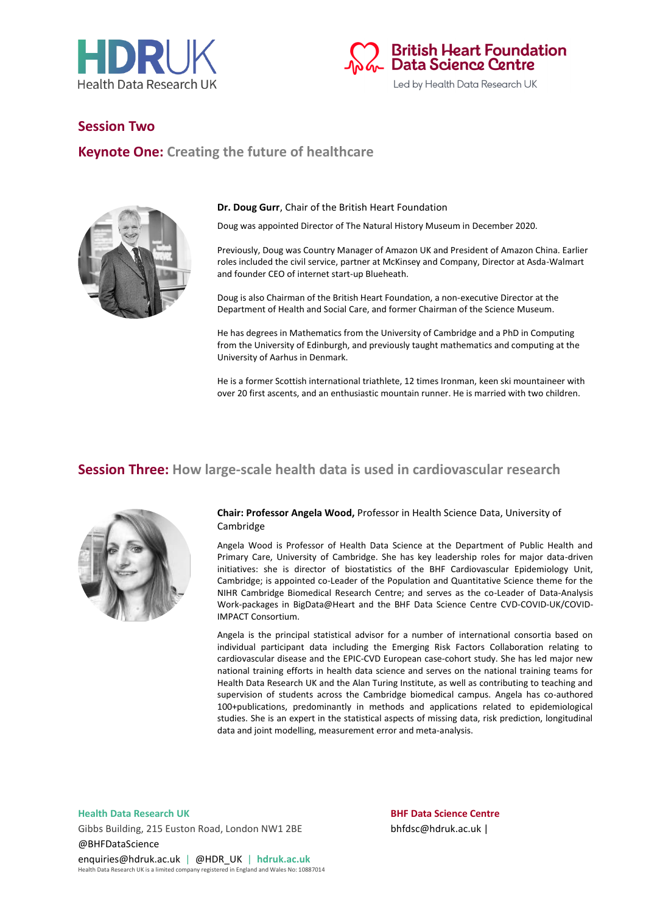



## **Session Two**

## **Keynote One: Creating the future of healthcare**



#### **Dr. Doug Gurr**, Chair of the British Heart Foundation

Doug was appointed Director of The Natural History Museum in December 2020.

Previously, Doug was Country Manager of Amazon UK and President of Amazon China. Earlier roles included the civil service, partner at McKinsey and Company, Director at Asda-Walmart and founder CEO of internet start-up Blueheath.

Doug is also Chairman of the British Heart Foundation, a non-executive Director at the Department of Health and Social Care, and former Chairman of the Science Museum.

He has degrees in Mathematics from the University of Cambridge and a PhD in Computing from the University of Edinburgh, and previously taught mathematics and computing at the University of Aarhus in Denmark.

He is a former Scottish international triathlete, 12 times Ironman, keen ski mountaineer with over 20 first ascents, and an enthusiastic mountain runner. He is married with two children.

## **Session Three: How large-scale health data is used in cardiovascular research**



#### **Chair: Professor Angela Wood,** Professor in Health Science Data, University of Cambridge

Angela Wood is Professor of Health Data Science at the Department of Public Health and Primary Care, University of Cambridge. She has key leadership roles for major data-driven initiatives: she is director of biostatistics of the BHF Cardiovascular Epidemiology Unit, Cambridge; is appointed co-Leader of the Population and Quantitative Science theme for the NIHR Cambridge Biomedical Research Centre; and serves as the co-Leader of Data-Analysis Work-packages in BigData@Heart and the BHF Data Science Centre CVD-COVID-UK/COVID-IMPACT Consortium.

Angela is the principal statistical advisor for a number of international consortia based on individual participant data including the Emerging Risk Factors Collaboration relating to cardiovascular disease and the EPIC-CVD European case-cohort study. She has led major new national training efforts in health data science and serves on the national training teams for Health Data Research UK and the Alan Turing Institute, as well as contributing to teaching and supervision of students across the Cambridge biomedical campus. Angela has co-authored 100+publications, predominantly in methods and applications related to epidemiological studies. She is an expert in the statistical aspects of missing data, risk prediction, longitudinal data and joint modelling, measurement error and meta-analysis.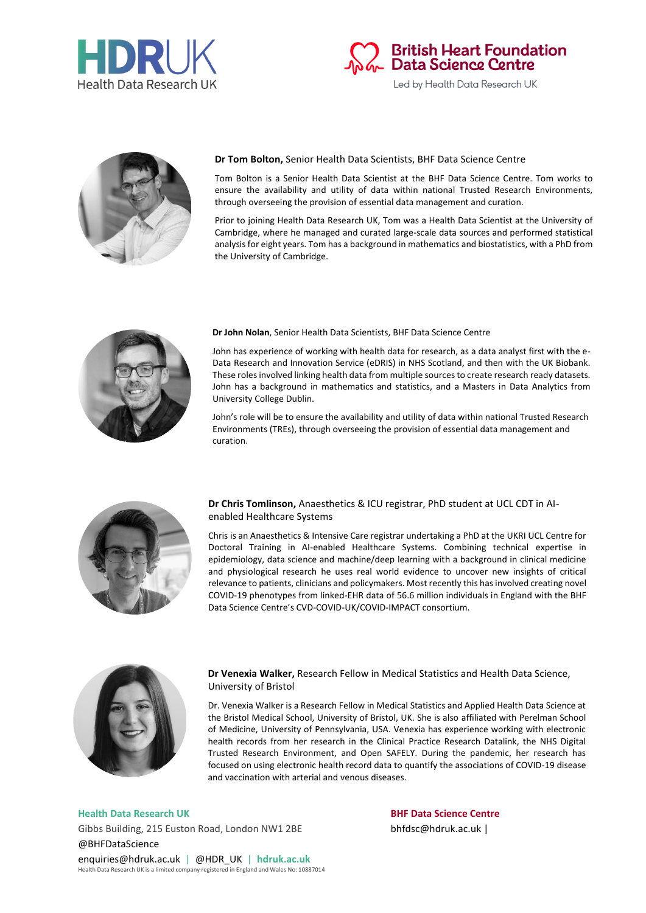





### **Dr Tom Bolton,** Senior Health Data Scientists, BHF Data Science Centre

Tom Bolton is a Senior Health Data Scientist at the BHF Data Science Centre. Tom works to ensure the availability and utility of data within national Trusted Research Environments, through overseeing the provision of essential data management and curation.

Prior to joining Health Data Research UK, Tom was a Health Data Scientist at the University of Cambridge, where he managed and curated large-scale data sources and performed statistical analysis for eight years. Tom has a background in mathematics and biostatistics, with a PhD from the University of Cambridge.



#### **Dr John Nolan**, Senior Health Data Scientists, BHF Data Science Centre

John has experience of working with health data for research, as a data analyst first with the e-Data Research and Innovation Service (eDRIS) in NHS Scotland, and then with the UK Biobank. These roles involved linking health data from multiple sources to create research ready datasets. John has a background in mathematics and statistics, and a Masters in Data Analytics from University College Dublin.

John's role will be to ensure the availability and utility of data within national Trusted Research Environments (TREs), through overseeing the provision of essential data management and curation.



### **Dr Chris Tomlinson,** Anaesthetics & ICU registrar, PhD student at UCL CDT in AIenabled Healthcare Systems

Chris is an Anaesthetics & Intensive Care registrar undertaking a PhD at the UKRI UCL Centre for Doctoral Training in AI-enabled Healthcare Systems. Combining technical expertise in epidemiology, data science and machine/deep learning with a background in clinical medicine and physiological research he uses real world evidence to uncover new insights of critical relevance to patients, clinicians and policymakers. Most recently this has involved creating novel COVID-19 phenotypes from linked-EHR data of 56.6 million individuals in England with the BHF Data Science Centre's CVD-COVID-UK/COVID-IMPACT consortium.



#### **Dr Venexia Walker,** Research Fellow in Medical Statistics and Health Data Science, University of Bristol

Dr. Venexia Walker is a Research Fellow in Medical Statistics and Applied Health Data Science at the Bristol Medical School, University of Bristol, UK. She is also affiliated with Perelman School of Medicine, University of Pennsylvania, USA. Venexia has experience working with electronic health records from her research in the Clinical Practice Research Datalink, the NHS Digital Trusted Research Environment, and Open SAFELY. During the pandemic, her research has focused on using electronic health record data to quantify the associations of COVID-19 disease and vaccination with arterial and venous diseases.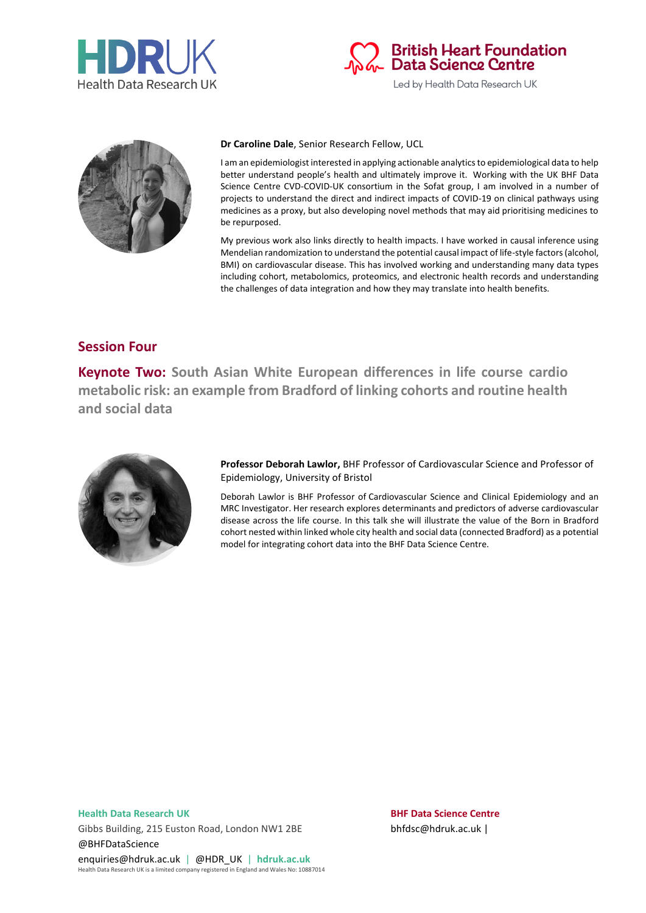





#### **Dr Caroline Dale**, Senior Research Fellow, UCL

I am an epidemiologist interested in applying actionable analytics to epidemiological data to help better understand people's health and ultimately improve it. Working with the UK BHF Data Science Centre CVD-COVID-UK consortium in the Sofat group, I am involved in a number of projects to understand the direct and indirect impacts of COVID-19 on clinical pathways using medicines as a proxy, but also developing novel methods that may aid prioritising medicines to be repurposed.

My previous work also links directly to health impacts. I have worked in causal inference using Mendelian randomization to understand the potential causal impact of life-style factors (alcohol, BMI) on cardiovascular disease. This has involved working and understanding many data types including cohort, metabolomics, proteomics, and electronic health records and understanding the challenges of data integration and how they may translate into health benefits.

## **Session Four**

**Keynote Two: South Asian White European differences in life course cardio metabolic risk: an example from Bradford of linking cohorts and routine health and social data**



**Professor Deborah Lawlor,** BHF Professor of Cardiovascular Science and Professor of Epidemiology, University of Bristol

Deborah Lawlor is BHF Professor of Cardiovascular Science and Clinical Epidemiology and an MRC Investigator. Her research explores determinants and predictors of adverse cardiovascular disease across the life course. In this talk she will illustrate the value of the Born in Bradford cohort nested within linked whole city health and social data (connected Bradford) as a potential model for integrating cohort data into the BHF Data Science Centre.

Gibbs Building, 215 Euston Road, London NW1 2BE bhfdsc@hdruk.ac.uk | @BHFDataScience enquiries@hdruk.ac.uk | @HDR\_UK | **hdruk.ac.uk**

Health Data Research UK is a limited company registered in England and Wales No: 10887014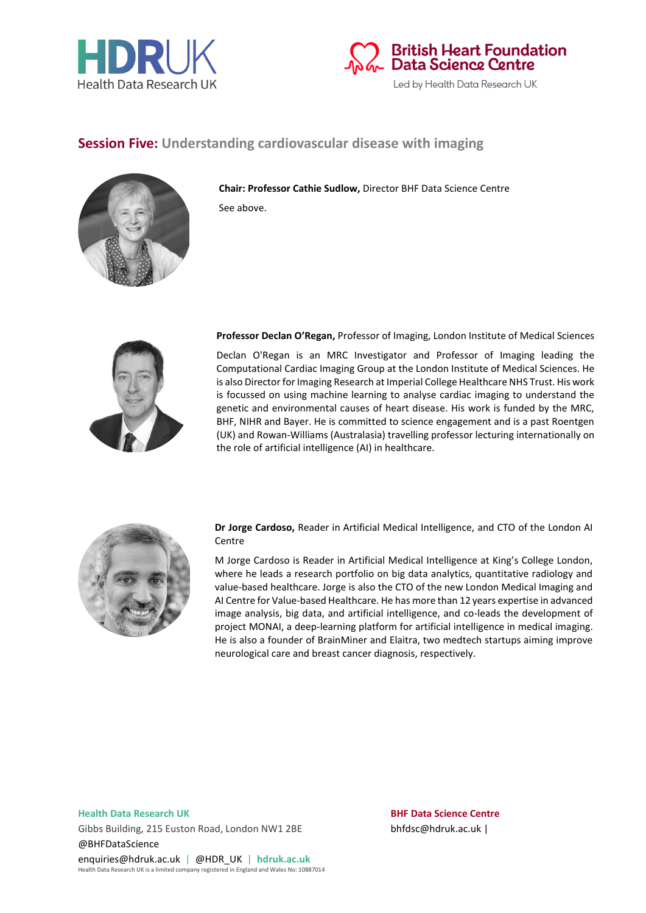



## **Session Five: Understanding cardiovascular disease with imaging**



**Chair: Professor Cathie Sudlow,** Director BHF Data Science Centre See above.



**Professor Declan O'Regan,** Professor of Imaging, London Institute of Medical Sciences

Declan O'Regan is an MRC Investigator and Professor of Imaging leading the Computational Cardiac Imaging Group at the London Institute of Medical Sciences. He is also Director for Imaging Research at Imperial College Healthcare NHS Trust. His work is focussed on using machine learning to analyse cardiac imaging to understand the genetic and environmental causes of heart disease. His work is funded by the MRC, BHF, NIHR and Bayer. He is committed to science engagement and is a past Roentgen (UK) and Rowan-Williams (Australasia) travelling professor lecturing internationally on the role of artificial intelligence (AI) in healthcare.



**Dr Jorge Cardoso,** Reader in Artificial Medical Intelligence, and CTO of the London AI **Centre** 

M Jorge Cardoso is Reader in Artificial Medical Intelligence at King's College London, where he leads a research portfolio on big data analytics, quantitative radiology and value-based healthcare. Jorge is also the CTO of the new London Medical Imaging and AI Centre for Value-based Healthcare. He has more than 12 years expertise in advanced image analysis, big data, and artificial intelligence, and co-leads the development of project MONAI, a deep-learning platform for artificial intelligence in medical imaging. He is also a founder of BrainMiner and Elaitra, two medtech startups aiming improve neurological care and breast cancer diagnosis, respectively.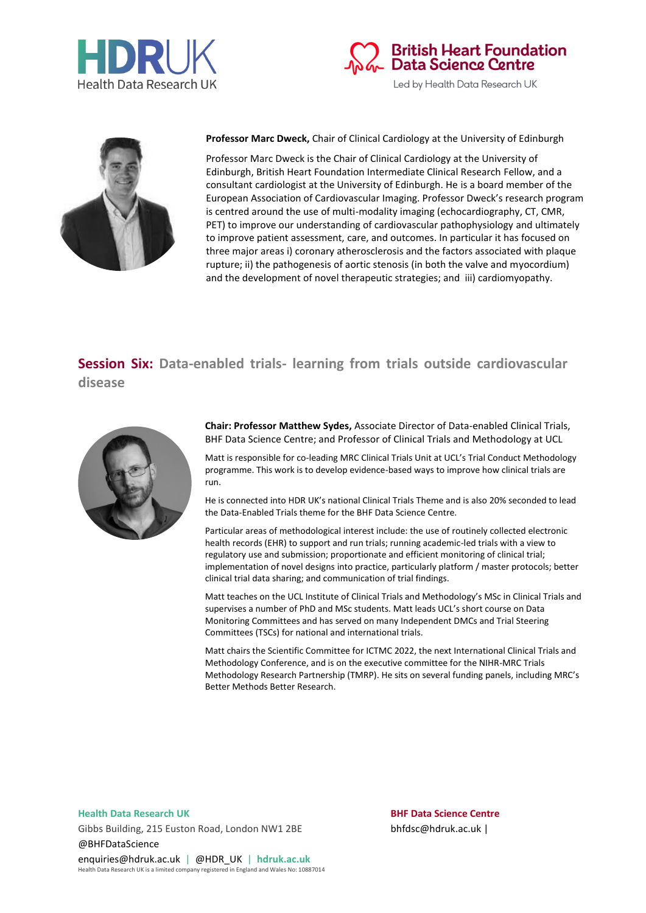





**Professor Marc Dweck,** Chair of Clinical Cardiology at the University of Edinburgh

Professor Marc Dweck is the Chair of Clinical Cardiology at the University of Edinburgh, British Heart Foundation Intermediate Clinical Research Fellow, and a consultant cardiologist at the University of Edinburgh. He is a board member of the European Association of Cardiovascular Imaging. Professor Dweck's research program is centred around the use of multi-modality imaging (echocardiography, CT, CMR, PET) to improve our understanding of cardiovascular pathophysiology and ultimately to improve patient assessment, care, and outcomes. In particular it has focused on three major areas i) coronary atherosclerosis and the factors associated with plaque rupture; ii) the pathogenesis of aortic stenosis (in both the valve and myocordium) and the development of novel therapeutic strategies; and iii) cardiomyopathy.

# **Session Six: Data-enabled trials- learning from trials outside cardiovascular disease**



**Chair: Professor Matthew Sydes,** Associate Director of Data-enabled Clinical Trials, BHF Data Science Centre; and Professor of Clinical Trials and Methodology at UCL

Matt is responsible for co-leading MRC Clinical Trials Unit at UCL's Trial Conduct Methodology programme. This work is to develop evidence-based ways to improve how clinical trials are run.

He is connected into HDR UK's national Clinical Trials Theme and is also 20% seconded to lead the Data-Enabled Trials theme for the BHF Data Science Centre.

Particular areas of methodological interest include: the use of routinely collected electronic health records (EHR) to support and run trials; running academic-led trials with a view to regulatory use and submission; proportionate and efficient monitoring of clinical trial; implementation of novel designs into practice, particularly platform / master protocols; better clinical trial data sharing; and communication of trial findings.

Matt teaches on the UCL Institute of Clinical Trials and Methodology's MSc in Clinical Trials and supervises a number of PhD and MSc students. Matt leads UCL's short course on Data Monitoring Committees and has served on many Independent DMCs and Trial Steering Committees (TSCs) for national and international trials.

Matt chairs the Scientific Committee for ICTMC 2022, the next International Clinical Trials and Methodology Conference, and is on the executive committee for the NIHR-MRC Trials Methodology Research Partnership (TMRP). He sits on several funding panels, including MRC's Better Methods Better Research.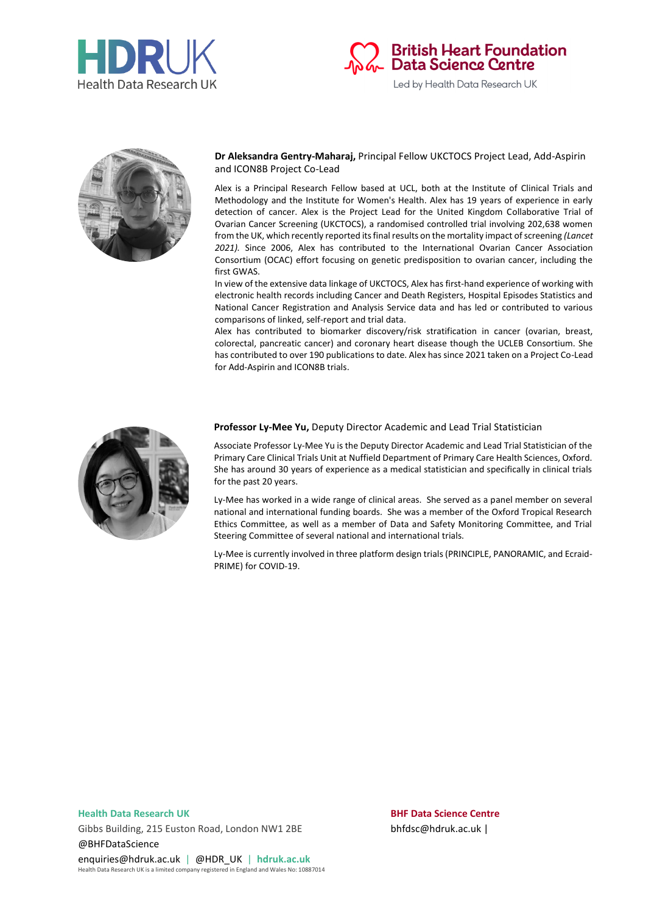





### **Dr Aleksandra Gentry-Maharaj,** Principal Fellow UKCTOCS Project Lead, Add-Aspirin and ICON8B Project Co-Lead

Alex is a Principal Research Fellow based at UCL, both at the Institute of Clinical Trials and Methodology and the Institute for Women's Health. Alex has 19 years of experience in early detection of cancer. Alex is the Project Lead for the United Kingdom Collaborative Trial of Ovarian Cancer Screening (UKCTOCS), a randomised controlled trial involving 202,638 women from the UK, which recently reported its final results on the mortality impact of screening *(Lancet 2021).* Since 2006, Alex has contributed to the International Ovarian Cancer Association Consortium (OCAC) effort focusing on genetic predisposition to ovarian cancer, including the first GWAS.

In view of the extensive data linkage of UKCTOCS, Alex has first-hand experience of working with electronic health records including Cancer and Death Registers, Hospital Episodes Statistics and National Cancer Registration and Analysis Service data and has led or contributed to various comparisons of linked, self-report and trial data.

Alex has contributed to biomarker discovery/risk stratification in cancer (ovarian, breast, colorectal, pancreatic cancer) and coronary heart disease though the UCLEB Consortium. She has contributed to over 190 publications to date. Alex has since 2021 taken on a Project Co-Lead for Add-Aspirin and ICON8B trials.



#### **Professor Ly-Mee Yu,** Deputy Director Academic and Lead Trial Statistician

Associate Professor Ly-Mee Yu is the Deputy Director Academic and Lead Trial Statistician of the Primary Care Clinical Trials Unit at Nuffield Department of Primary Care Health Sciences, Oxford. She has around 30 years of experience as a medical statistician and specifically in clinical trials for the past 20 years.

Ly-Mee has worked in a wide range of clinical areas. She served as a panel member on several national and international funding boards. She was a member of the Oxford Tropical Research Ethics Committee, as well as a member of Data and Safety Monitoring Committee, and Trial Steering Committee of several national and international trials.

Ly-Mee is currently involved in three platform design trials (PRINCIPLE, PANORAMIC, and Ecraid-PRIME) for COVID-19.

Gibbs Building, 215 Euston Road, London NW1 2BE bhfdsc@hdruk.ac.uk | @BHFDataScience enquiries@hdruk.ac.uk | @HDR\_UK | **hdruk.ac.uk**

Health Data Research UK is a limited company registered in England and Wales No: 10887014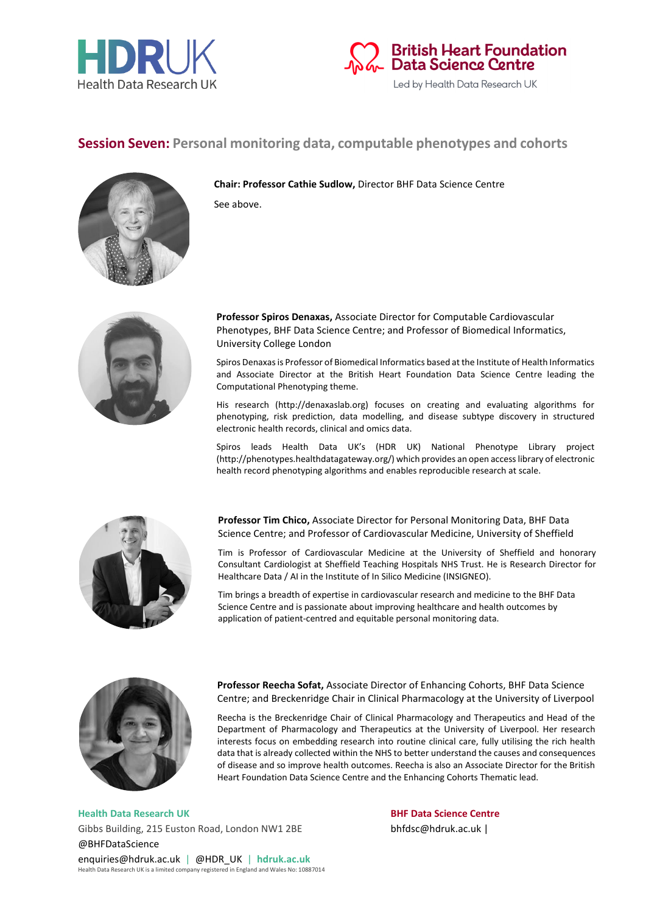



## **Session Seven: Personal monitoring data, computable phenotypes and cohorts**



**Chair: Professor Cathie Sudlow,** Director BHF Data Science Centre See above.



**Professor Spiros Denaxas,** Associate Director for Computable Cardiovascular Phenotypes, BHF Data Science Centre; and Professor of Biomedical Informatics, University College London

Spiros Denaxas is Professor of Biomedical Informatics based at the Institute of Health Informatics and Associate Director at the British Heart Foundation Data Science Centre leading the Computational Phenotyping theme.

His research (http://denaxaslab.org) focuses on creating and evaluating algorithms for phenotyping, risk prediction, data modelling, and disease subtype discovery in structured electronic health records, clinical and omics data.

Spiros leads Health Data UK's (HDR UK) National Phenotype Library project (http://phenotypes.healthdatagateway.org/) which provides an open access library of electronic health record phenotyping algorithms and enables reproducible research at scale.



**Professor Tim Chico,** Associate Director for Personal Monitoring Data, BHF Data Science Centre; and Professor of Cardiovascular Medicine, University of Sheffield

Tim is Professor of Cardiovascular Medicine at the University of Sheffield and honorary Consultant Cardiologist at Sheffield Teaching Hospitals NHS Trust. He is Research Director for Healthcare Data / AI in the Institute of In Silico Medicine (INSIGNEO).

Tim brings a breadth of expertise in cardiovascular research and medicine to the BHF Data Science Centre and is passionate about improving healthcare and health outcomes by application of patient-centred and equitable personal monitoring data.



**Professor Reecha Sofat,** Associate Director of Enhancing Cohorts, BHF Data Science Centre; and Breckenridge Chair in Clinical Pharmacology at the University of Liverpool

Reecha is the Breckenridge Chair of Clinical Pharmacology and Therapeutics and Head of the Department of Pharmacology and Therapeutics at the University of Liverpool. Her research interests focus on embedding research into routine clinical care, fully utilising the rich health data that is already collected within the NHS to better understand the causes and consequences of disease and so improve health outcomes. Reecha is also an Associate Director for the British Heart Foundation Data Science Centre and the Enhancing Cohorts Thematic lead.